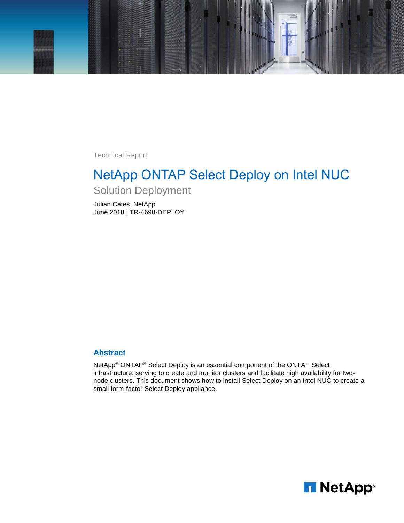

Technical Report

# NetApp ONTAP Select Deploy on Intel NUC

Solution Deployment

Julian Cates, NetApp June 2018 | TR-4698-DEPLOY

# **Abstract**

NetApp® ONTAP® Select Deploy is an essential component of the ONTAP Select infrastructure, serving to create and monitor clusters and facilitate high availability for twonode clusters. This document shows how to install Select Deploy on an Intel NUC to create a small form-factor Select Deploy appliance.

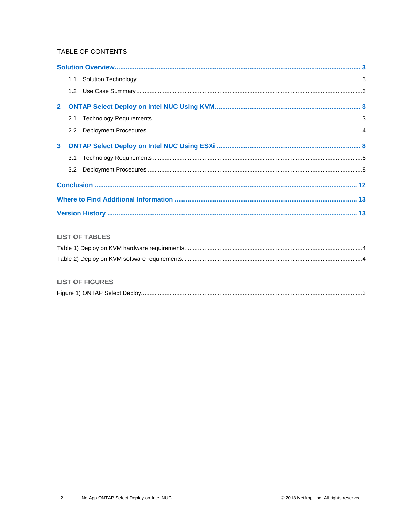# TABLE OF CONTENTS

|                | 1.1           |                       |  |
|----------------|---------------|-----------------------|--|
|                | 1.2           |                       |  |
| $\overline{2}$ |               |                       |  |
|                | 2.1           |                       |  |
|                | $2.2^{\circ}$ |                       |  |
| 3 <sup>1</sup> |               |                       |  |
|                | 3.1           |                       |  |
|                | 3.2           |                       |  |
|                |               |                       |  |
|                |               |                       |  |
|                |               |                       |  |
|                |               |                       |  |
|                |               | <b>LIST OF TABLES</b> |  |
|                |               |                       |  |
|                |               |                       |  |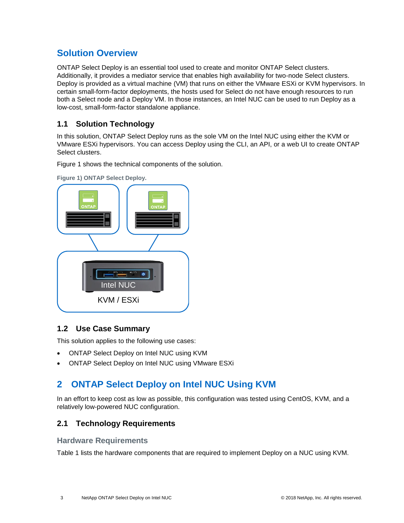# <span id="page-2-0"></span>**Solution Overview**

ONTAP Select Deploy is an essential tool used to create and monitor ONTAP Select clusters. Additionally, it provides a mediator service that enables high availability for two-node Select clusters. Deploy is provided as a virtual machine (VM) that runs on either the VMware ESXi or KVM hypervisors. In certain small-form-factor deployments, the hosts used for Select do not have enough resources to run both a Select node and a Deploy VM. In those instances, an Intel NUC can be used to run Deploy as a low-cost, small-form-factor standalone appliance.

# <span id="page-2-1"></span>**1.1 Solution Technology**

In this solution, ONTAP Select Deploy runs as the sole VM on the Intel NUC using either the KVM or VMware ESXi hypervisors. You can access Deploy using the CLI, an API, or a web UI to create ONTAP Select clusters.

[Figure 1](#page-2-5) shows the technical components of the solution.



<span id="page-2-5"></span>**Figure 1) ONTAP Select Deploy.**

# <span id="page-2-2"></span>**1.2 Use Case Summary**

This solution applies to the following use cases:

- ONTAP Select Deploy on Intel NUC using KVM
- <span id="page-2-3"></span>• ONTAP Select Deploy on Intel NUC using VMware ESXi

# **2 ONTAP Select Deploy on Intel NUC Using KVM**

In an effort to keep cost as low as possible, this configuration was tested using CentOS, KVM, and a relatively low-powered NUC configuration.

# <span id="page-2-4"></span>**2.1 Technology Requirements**

## **Hardware Requirements**

[Table 1](#page-3-1) lists the hardware components that are required to implement Deploy on a NUC using KVM.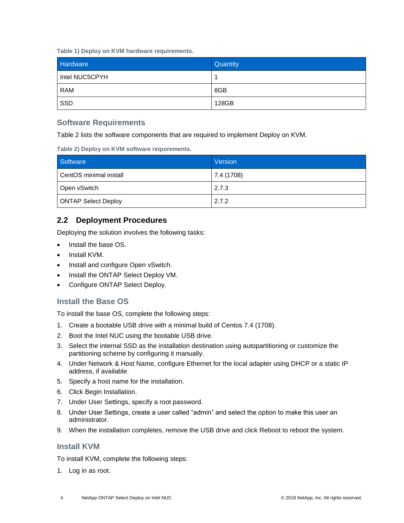<span id="page-3-1"></span>**Table 1) Deploy on KVM hardware requirements.**

| <b>Hardware</b> | Quantity |
|-----------------|----------|
| Intel NUC5CPYH  |          |
| <b>RAM</b>      | 8GB      |
| SSD             | 128GB    |

# **Software Requirements**

[Table 2](#page-3-2) lists the software components that are required to implement Deploy on KVM.

<span id="page-3-2"></span>**Table 2) Deploy on KVM software requirements.**

| Software                   | Version    |
|----------------------------|------------|
| CentOS minimal install     | 7.4 (1708) |
| Open vSwitch               | 2.7.3      |
| <b>ONTAP Select Deploy</b> | 2.7.2      |

# <span id="page-3-0"></span>**2.2 Deployment Procedures**

Deploying the solution involves the following tasks:

- Install the base OS.
- Install KVM.
- Install and configure Open vSwitch.
- Install the ONTAP Select Deploy VM.
- Configure ONTAP Select Deploy.

# **Install the Base OS**

To install the base OS, complete the following steps:

- 1. Create a bootable USB drive with a minimal build of Centos 7.4 (1708).
- 2. Boot the Intel NUC using the bootable USB drive.
- 3. Select the internal SSD as the installation destination using autopartitioning or customize the partitioning scheme by configuring it manually.
- 4. Under Network & Host Name, configure Ethernet for the local adapter using DHCP or a static IP address, if available.
- 5. Specify a host name for the installation.
- 6. Click Begin Installation.
- 7. Under User Settings, specify a root password.
- 8. Under User Settings, create a user called "admin" and select the option to make this user an administrator.
- 9. When the installation completes, remove the USB drive and click Reboot to reboot the system.

## **Install KVM**

To install KVM, complete the following steps:

1. Log in as root.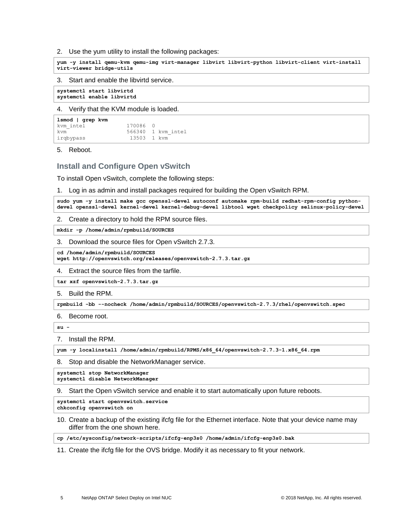#### 2. Use the yum utility to install the following packages:

**yum -y install qemu-kvm qemu-img virt-manager libvirt libvirt-python libvirt-client virt-install virt-viewer bridge-utils**

#### 3. Start and enable the libvirtd service.

**systemctl start libvirtd systemctl enable libvirtd**

#### 4. Verify that the KVM module is loaded.

| 1smod   grep kvm |             |                    |
|------------------|-------------|--------------------|
| kvm intel        | 170086 0    |                    |
| kvm              |             | 566340 1 kvm intel |
| irgbypass        | 13503 1 kvm |                    |

5. Reboot.

## **Install and Configure Open vSwitch**

To install Open vSwitch, complete the following steps:

1. Log in as admin and install packages required for building the Open vSwitch RPM.

**sudo yum -y install make gcc openssl-devel autoconf automake rpm-build redhat-rpm-config pythondevel openssl-devel kernel-devel kernel-debug-devel libtool wget checkpolicy selinux-policy-devel**

2. Create a directory to hold the RPM source files.

**mkdir -p /home/admin/rpmbuild/SOURCES**

3. Download the source files for Open vSwitch 2.7.3.

**cd /home/admin/rpmbuild/SOURCES**

**wget http://openvswitch.org/releases/openvswitch-2.7.3.tar.gz**

4. Extract the source files from the tarfile.

**tar xzf openvswitch-2.7.3.tar.gz**

5. Build the RPM.

**rpmbuild -bb --nocheck /home/admin/rpmbuild/SOURCES/openvswitch-2.7.3/rhel/openvswitch.spec**

6. Become root.

**su -**

#### 7. Install the RPM.

**yum -y localinstall /home/admin/rpmbuild/RPMS/x86\_64/openvswitch-2.7.3-1.x86\_64.rpm**

8. Stop and disable the NetworkManager service.

**systemctl stop NetworkManager systemctl disable NetworkManager**

9. Start the Open vSwitch service and enable it to start automatically upon future reboots.

**systemctl start openvswitch.service**

**chkconfig openvswitch on**

10. Create a backup of the existing ifcfg file for the Ethernet interface. Note that your device name may differ from the one shown here.

**cp /etc/sysconfig/network-scripts/ifcfg-enp3s0 /home/admin/ifcfg-enp3s0.bak**

11. Create the ifcfg file for the OVS bridge. Modify it as necessary to fit your network.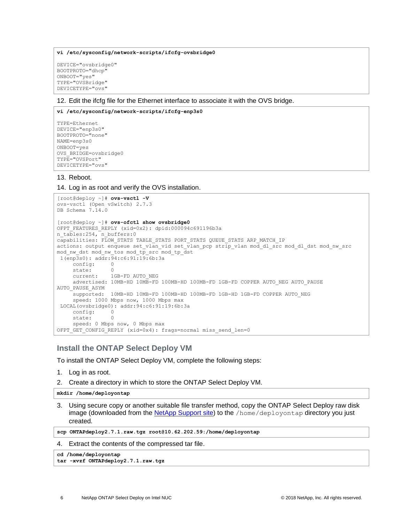**vi /etc/sysconfig/network-scripts/ifcfg-ovsbridge0**

DEVICE="ovsbridge0" BOOTPROTO="dhcp" ONBOOT="yes" TYPE="OVSBridge" DEVICETYPE="ovs"

12. Edit the ifcfg file for the Ethernet interface to associate it with the OVS bridge.

#### **vi /etc/sysconfig/network-scripts/ifcfg-enp3s0**

```
TYPE=Ethernet
DEVICE="enp3s0"
BOOTPROTO="none"
NAME=enp3s0
ONBOOT=yes
OVS_BRIDGE=ovsbridge0
TYPE="OVSPort"
DEVICETYPE="ovs"
```
13. Reboot.

14. Log in as root and verify the OVS installation.

```
[root@deploy ~]# ovs-vsctl -V
ovs-vsctl (Open vSwitch) 2.7.3
DB Schema 7.14.0
[root@deploy ~]# ovs-ofctl show ovsbridge0
OFPT FEATURES REPLY (xid=0x2): dpid:000094c691196b3a
n_tables:254, n_buffers:0
capabilities: FLOW_STATS TABLE_STATS PORT_STATS QUEUE_STATS ARP_MATCH_IP
actions: output enqueue set vlan vid set vlan pcp strip vlan mod dl_src mod dl_dst mod nw_src
mod_nw_dst mod_nw_tos mod_tp_src mod_tp_dst
1(enp3s0): addr:94:c6:91:19:6b:3a
     config: 0
     state: 0
    current: 1GB-FD AUTO NEG
     advertised: 10MB-HD 10MB-FD 100MB-HD 100MB-FD 1GB-FD COPPER AUTO_NEG AUTO_PAUSE 
AUTO_PAUSE_ASYM
     supported: 10MB-HD 10MB-FD 100MB-HD 100MB-FD 1GB-HD 1GB-FD COPPER AUTO_NEG
     speed: 1000 Mbps now, 1000 Mbps max
LOCAL(ovsbridge0): addr:94:c6:91:19:6b:3a
    config:
     state: 0
     speed: 0 Mbps now, 0 Mbps max
OFPT GET CONFIG REPLY (xid=0x4): frags=normal miss send len=0
```
### **Install the ONTAP Select Deploy VM**

To install the ONTAP Select Deploy VM, complete the following steps:

- 1. Log in as root.
- 2. Create a directory in which to store the ONTAP Select Deploy VM.

**mkdir /home/deployontap**

3. Using secure copy or another suitable file transfer method, copy the ONTAP Select Deploy raw disk image (downloaded from the [NetApp Support site\)](https://mysupport.netapp.com/) to the /home/deployontap directory you just created.

**scp ONTAPdeploy2.7.1.raw.tgz root@10.62.202.59:/home/deployontap**

4. Extract the contents of the compressed tar file.

```
cd /home/deployontap
```

```
tar -xvzf ONTAPdeploy2.7.1.raw.tgz
```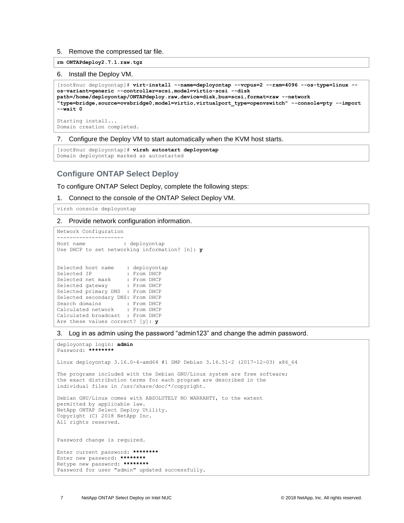5. Remove the compressed tar file.

#### **rm ONTAPdeploy2.7.1.raw.tgz**

#### 6. Install the Deploy VM.

```
[root@nuc deployontap]# virt-install --name=deployontap --vcpus=2 --ram=4096 --os-type=linux --
os-variant=generic --controller=scsi,model=virtio-scsi --disk 
path=/home/deployontap/ONTAPdeploy.raw,device=disk,bus=scsi,format=raw --network 
"type=bridge,source=ovsbridge0,model=virtio,virtualport_type=openvswitch" --console=pty --import 
--wait 0
Starting install...
```
Domain creation completed.

7. Configure the Deploy VM to start automatically when the KVM host starts.

```
[root@nuc deployontap]# virsh autostart deployontap
Domain deployontap marked as autostarted
```
## **Configure ONTAP Select Deploy**

To configure ONTAP Select Deploy, complete the following steps:

1. Connect to the console of the ONTAP Select Deploy VM.

virsh console deployontap

#### 2. Provide network configuration information.

```
Network Configuration
      ---------------------
Host name : deployontap
Use DHCP to set networking information? [n]: y
Selected host name : deployontap
Selected IP : From DHCP
Selected net mask : From DHCP
Selected gateway : From DHCP
Selected primary DNS : From DHCP
Selected secondary DNS: From DHCP
Search domains : From DHCP
Calculated network : From DHCP
Calculated broadcast : From DHCP
Are these values correct? [y]: y
```
3. Log in as admin using the password "admin123" and change the admin password.

```
deployontap login: admin
Password: ********
Linux deployontap 3.16.0-4-amd64 #1 SMP Debian 3.16.51-2 (2017-12-03) x86_64
The programs included with the Debian GNU/Linux system are free software;
the exact distribution terms for each program are described in the
individual files in /usr/share/doc/*/copyright.
Debian GNU/Linux comes with ABSOLUTELY NO WARRANTY, to the extent
permitted by applicable law.
NetApp ONTAP Select Deploy Utility.
Copyright (C) 2018 NetApp Inc.
All rights reserved.
Password change is required.
Enter current password: ********
Enter new password: ********
Retype new password: ********
Password for user "admin" updated successfully.
```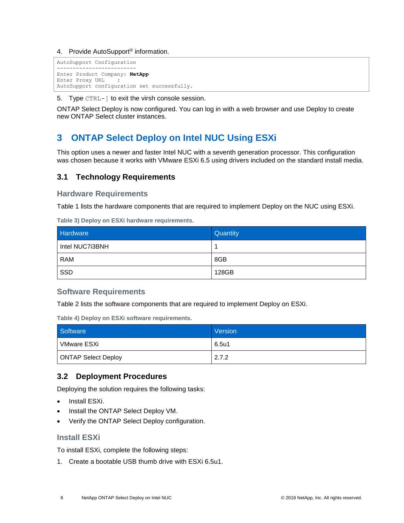#### 4. Provide AutoSupport<sup>®</sup> information.

```
AutoSupport Configuration
-------------------------
Enter Product Company: NetApp
Enter Proxy URL :
AutoSupport configuration set successfully.
```
5. Type CTRL-] to exit the virsh console session.

ONTAP Select Deploy is now configured. You can log in with a web browser and use Deploy to create new ONTAP Select cluster instances.

# <span id="page-7-0"></span>**3 ONTAP Select Deploy on Intel NUC Using ESXi**

This option uses a newer and faster Intel NUC with a seventh generation processor. This configuration was chosen because it works with VMware ESXi 6.5 using drivers included on the standard install media.

# <span id="page-7-1"></span>**3.1 Technology Requirements**

**Hardware Requirements**

[Table 1](#page-3-1) lists the hardware components that are required to implement Deploy on the NUC using ESXi.

**Table 3) Deploy on ESXi hardware requirements.**

| Hardware        | Quantity |
|-----------------|----------|
| Intel NUC7i3BNH |          |
| <b>RAM</b>      | 8GB      |
| SSD             | 128GB    |

### **Software Requirements**

[Table 2](#page-3-2) lists the software components that are required to implement Deploy on ESXi.

**Table 4) Deploy on ESXi software requirements.**

| Software                   | Version |
|----------------------------|---------|
| VMware ESXi                | 6.5u1   |
| <b>ONTAP Select Deploy</b> | 2.7.2   |

# <span id="page-7-2"></span>**3.2 Deployment Procedures**

Deploying the solution requires the following tasks:

- Install ESXi.
- Install the ONTAP Select Deploy VM.
- Verify the ONTAP Select Deploy configuration.

# **Install ESXi**

To install ESXi, complete the following steps:

1. Create a bootable USB thumb drive with ESXi 6.5u1.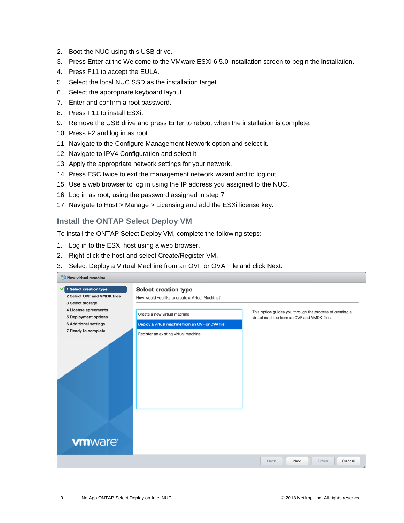- 2. Boot the NUC using this USB drive.
- 3. Press Enter at the Welcome to the VMware ESXi 6.5.0 Installation screen to begin the installation.
- 4. Press F11 to accept the EULA.
- 5. Select the local NUC SSD as the installation target.
- 6. Select the appropriate keyboard layout.
- 7. Enter and confirm a root password.
- 8. Press F11 to install ESXi.
- 9. Remove the USB drive and press Enter to reboot when the installation is complete.
- 10. Press F2 and log in as root.
- 11. Navigate to the Configure Management Network option and select it.
- 12. Navigate to IPV4 Configuration and select it.
- 13. Apply the appropriate network settings for your network.
- 14. Press ESC twice to exit the management network wizard and to log out.
- 15. Use a web browser to log in using the IP address you assigned to the NUC.
- 16. Log in as root, using the password assigned in step 7.
- 17. Navigate to Host > Manage > Licensing and add the ESXi license key.

# **Install the ONTAP Select Deploy VM**

To install the ONTAP Select Deploy VM, complete the following steps:

- 1. Log in to the ESXi host using a web browser.
- 2. Right-click the host and select Create/Register VM.
- 3. Select Deploy a Virtual Machine from an OVF or OVA File and click Next.

| New virtual machine          |                                                  |                                                          |
|------------------------------|--------------------------------------------------|----------------------------------------------------------|
| 1 Select creation type<br>✔  | <b>Select creation type</b>                      |                                                          |
| 2 Select OVF and VMDK files  | How would you like to create a Virtual Machine?  |                                                          |
| 3 Select storage             |                                                  |                                                          |
| 4 License agreements         |                                                  | This option guides you through the process of creating a |
| <b>5 Deployment options</b>  | Create a new virtual machine                     | virtual machine from an OVF and VMDK files.              |
| <b>6 Additional settings</b> | Deploy a virtual machine from an OVF or OVA file |                                                          |
| 7 Ready to complete          | Register an existing virtual machine             |                                                          |
| <b>vm</b> ware               |                                                  |                                                          |
|                              |                                                  | Cancel<br>Back<br>Finish<br>Next                         |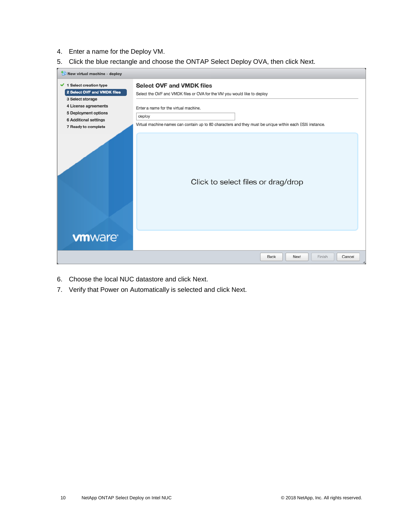- 4. Enter a name for the Deploy VM.
- 5. Click the blue rectangle and choose the ONTAP Select Deploy OVA, then click Next.



- 6. Choose the local NUC datastore and click Next.
- 7. Verify that Power on Automatically is selected and click Next.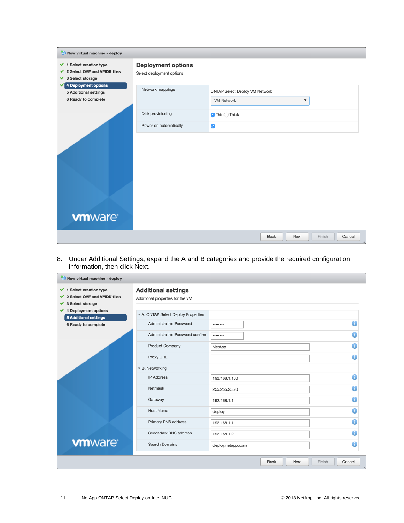| New virtual machine - deploy                                                                             |                                                        |                                                                             |
|----------------------------------------------------------------------------------------------------------|--------------------------------------------------------|-----------------------------------------------------------------------------|
| $\checkmark$ 1 Select creation type<br>2 Select OVF and VMDK files<br>✓<br>$\checkmark$ 3 Select storage | <b>Deployment options</b><br>Select deployment options |                                                                             |
| 4 Deployment options<br>✓<br><b>5 Additional settings</b><br>6 Ready to complete                         | Network mappings                                       | ONTAP Select Deploy VM Network<br><b>VM Network</b><br>$\blacktriangledown$ |
|                                                                                                          | Disk provisioning                                      | $\bigcirc$ Thin $\bigcirc$ Thick                                            |
|                                                                                                          | Power on automatically                                 | $\overline{\mathsf{v}}$                                                     |
|                                                                                                          |                                                        |                                                                             |
| <b>vm</b> ware                                                                                           |                                                        |                                                                             |
|                                                                                                          |                                                        | Finish<br>Cancel<br>Back<br>Next                                            |

8. Under Additional Settings, expand the A and B categories and provide the required configuration information, then click Next.

| $\checkmark$ 1 Select creation type<br>2 Select OVF and VMDK files<br>✔<br>3 Select storage<br>✓ | <b>Additional settings</b><br>Additional properties for the VM |                   |
|--------------------------------------------------------------------------------------------------|----------------------------------------------------------------|-------------------|
| 4 Deployment options<br>✔<br><b>5 Additional settings</b>                                        | - A. ONTAP Select Deploy Properties                            |                   |
| 6 Ready to complete                                                                              | Administrative Password                                        |                   |
|                                                                                                  | Administrative Password confirm                                |                   |
|                                                                                                  | Product Company                                                | NetApp            |
|                                                                                                  | Proxy URL                                                      |                   |
|                                                                                                  | ▼ B. Networking                                                |                   |
|                                                                                                  | <b>IP Address</b>                                              | 192.168.1.100     |
|                                                                                                  | Netmask                                                        | 255.255.255.0     |
|                                                                                                  | Gateway                                                        | 192.168.1.1       |
|                                                                                                  | <b>Host Name</b>                                               | deploy            |
|                                                                                                  | Primary DNS address                                            | 192.168.1.1       |
|                                                                                                  | Secondary DNS address                                          | 192.168.1.2       |
| <b>vm</b> ware                                                                                   | <b>Search Domains</b>                                          | deploy.netapp.com |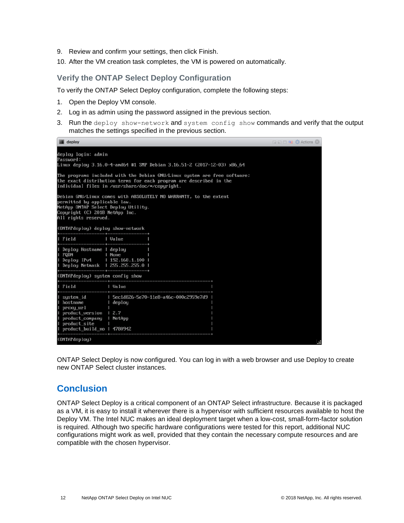- 9. Review and confirm your settings, then click Finish.
- 10. After the VM creation task completes, the VM is powered on automatically.

# **Verify the ONTAP Select Deploy Configuration**

To verify the ONTAP Select Deploy configuration, complete the following steps:

- 1. Open the Deploy VM console.
- 2. Log in as admin using the password assigned in the previous section.
- 3. Run the deploy show-network and system config show commands and verify that the output matches the settings specified in the previous section.

| deploy                                                                                                                        |                                                                                                                                                                                                    | <b>EEEE C</b> Actions 3 |  |  |  |
|-------------------------------------------------------------------------------------------------------------------------------|----------------------------------------------------------------------------------------------------------------------------------------------------------------------------------------------------|-------------------------|--|--|--|
| deploy login: admin<br>Password:                                                                                              | Linux deploy 3.16.0-4-amd64 #1 SMP Debian 3.16.51-2 (2017-12-03) x86_64                                                                                                                            |                         |  |  |  |
|                                                                                                                               | The programs included with the Debian GNU/Linux system are free software;<br>the exact distribution terms for each program are described in the<br>individual files in /usr/share/doc/*/copyright. |                         |  |  |  |
| permitted by applicable law.<br>NetApp ONTAP Select Deploy Utility.<br>Copyright (C) 2018 NetApp Inc.<br>All rights reserved. | Debian GNU/Linux comes with ABSOLUTELY NO WARRANTY, to the extent                                                                                                                                  |                         |  |  |  |
| (ONTAPdeploy) deploy show-network                                                                                             |                                                                                                                                                                                                    |                         |  |  |  |
| Field                                                                                                                         | l Value                                                                                                                                                                                            |                         |  |  |  |
| Deploy Hostname I deploy<br>I FODN<br>Deploy IPv4   192.168.1.100  <br>Deploy Netmask 1 255.255.255.0 1                       | I None                                                                                                                                                                                             |                         |  |  |  |
| (ONTAPdeploy) system config show                                                                                              | -------------                                                                                                                                                                                      |                         |  |  |  |
| Field                                                                                                                         | $U$ alue                                                                                                                                                                                           |                         |  |  |  |
| system_id<br>hostname<br>proxy_url<br>product_version 1 2.7<br>product company<br>product_site<br>product_build_no   4780942  | l 5ec1d826-5e70-11e8-a46c-000c2959e7d9<br>l deploy<br>l NetApp                                                                                                                                     |                         |  |  |  |
| (ONTAPdeploy)                                                                                                                 |                                                                                                                                                                                                    |                         |  |  |  |

ONTAP Select Deploy is now configured. You can log in with a web browser and use Deploy to create new ONTAP Select cluster instances.

# <span id="page-11-0"></span>**Conclusion**

ONTAP Select Deploy is a critical component of an ONTAP Select infrastructure. Because it is packaged as a VM, it is easy to install it wherever there is a hypervisor with sufficient resources available to host the Deploy VM. The Intel NUC makes an ideal deployment target when a low-cost, small-form-factor solution is required. Although two specific hardware configurations were tested for this report, additional NUC configurations might work as well, provided that they contain the necessary compute resources and are compatible with the chosen hypervisor.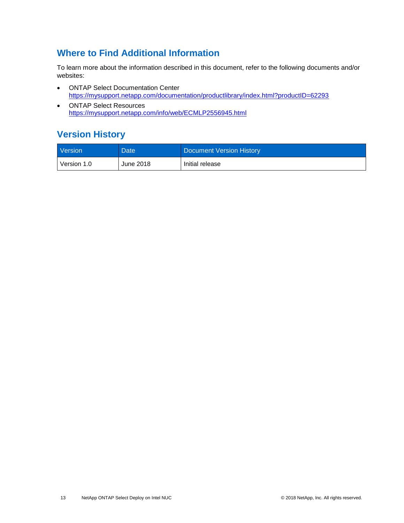# <span id="page-12-0"></span>**Where to Find Additional Information**

To learn more about the information described in this document, refer to the following documents and/or websites:

- ONTAP Select Documentation Center <https://mysupport.netapp.com/documentation/productlibrary/index.html?productID=62293>
- ONTAP Select Resources <https://mysupport.netapp.com/info/web/ECMLP2556945.html>

# <span id="page-12-1"></span>**Version History**

| <b>Version</b> | Date      | Document Version History |
|----------------|-----------|--------------------------|
| Version 1.0    | June 2018 | Initial release          |